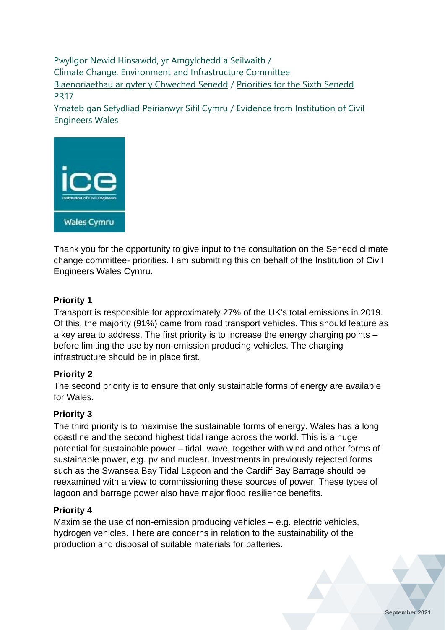Pwyllgor Newid Hinsawdd, yr Amgylchedd a Seilwaith / Climate Change, Environment and Infrastructure Committee [Blaenoriaethau ar gyfer y Chweched Senedd](https://busnes.senedd.cymru/mgConsultationDisplay.aspx?id=427&RPID=1026452002&cp=yes) / Priorities [for the Sixth Senedd](https://business.senedd.wales/mgConsultationDisplay.aspx?id=427&RPID=1026452002&cp=yes) PR17

Ymateb gan Sefydliad Peirianwyr Sifil Cymru / Evidence from Institution of Civil Engineers Wales



Thank you for the opportunity to give input to the consultation on the Senedd climate change committee- priorities. I am submitting this on behalf of the Institution of Civil Engineers Wales Cymru.

# **Priority 1**

Transport is responsible for approximately 27% of the UK's total emissions in 2019. Of this, the majority (91%) came from road transport vehicles. This should feature as a key area to address. The first priority is to increase the energy charging points – before limiting the use by non-emission producing vehicles. The charging infrastructure should be in place first.

# **Priority 2**

The second priority is to ensure that only sustainable forms of energy are available for Wales.

#### **Priority 3**

The third priority is to maximise the sustainable forms of energy. Wales has a long coastline and the second highest tidal range across the world. This is a huge potential for sustainable power – tidal, wave, together with wind and other forms of sustainable power, e;g. pv and nuclear. Investments in previously rejected forms such as the Swansea Bay Tidal Lagoon and the Cardiff Bay Barrage should be reexamined with a view to commissioning these sources of power. These types of lagoon and barrage power also have major flood resilience benefits.

#### **Priority 4**

Maximise the use of non-emission producing vehicles – e.g. electric vehicles, hydrogen vehicles. There are concerns in relation to the sustainability of the production and disposal of suitable materials for batteries.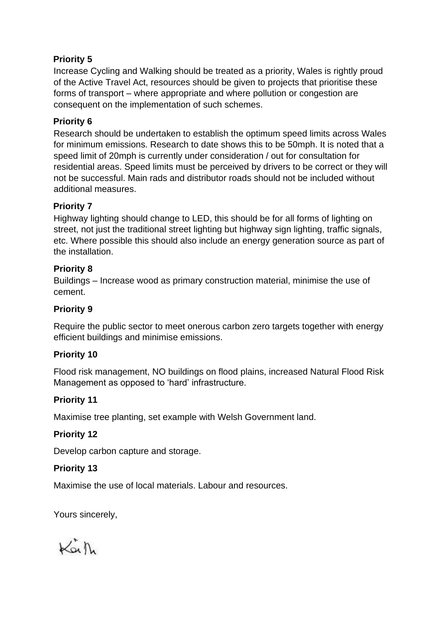# **Priority 5**

Increase Cycling and Walking should be treated as a priority, Wales is rightly proud of the Active Travel Act, resources should be given to projects that prioritise these forms of transport – where appropriate and where pollution or congestion are consequent on the implementation of such schemes.

# **Priority 6**

Research should be undertaken to establish the optimum speed limits across Wales for minimum emissions. Research to date shows this to be 50mph. It is noted that a speed limit of 20mph is currently under consideration / out for consultation for residential areas. Speed limits must be perceived by drivers to be correct or they will not be successful. Main rads and distributor roads should not be included without additional measures.

# **Priority 7**

Highway lighting should change to LED, this should be for all forms of lighting on street, not just the traditional street lighting but highway sign lighting, traffic signals, etc. Where possible this should also include an energy generation source as part of the installation.

# **Priority 8**

Buildings – Increase wood as primary construction material, minimise the use of cement.

# **Priority 9**

Require the public sector to meet onerous carbon zero targets together with energy efficient buildings and minimise emissions.

# **Priority 10**

Flood risk management, NO buildings on flood plains, increased Natural Flood Risk Management as opposed to 'hard' infrastructure.

# **Priority 11**

Maximise tree planting, set example with Welsh Government land.

# **Priority 12**

Develop carbon capture and storage.

# **Priority 13**

Maximise the use of local materials. Labour and resources.

Yours sincerely,

 $K_{\alpha}$   $\hbar$